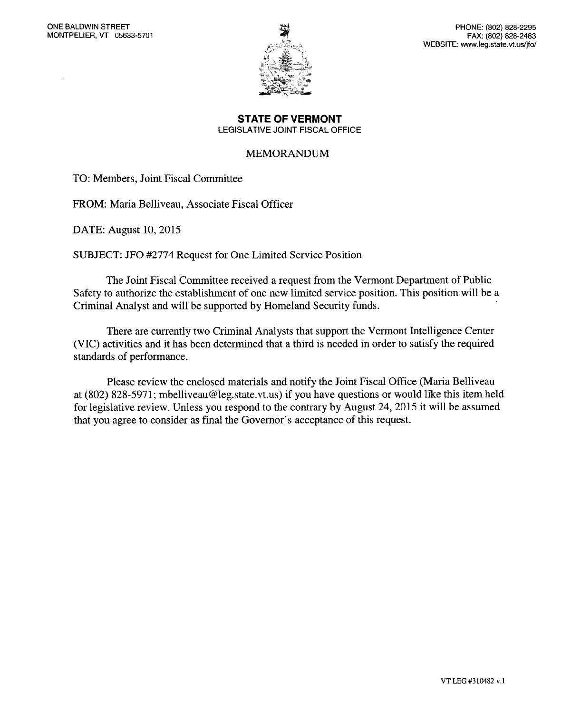

**STATE OF VERMONT**  LEGISLATIVE JOINT FISCAL OFFICE

#### MEMORANDUM

TO: Members, Joint Fiscal Committee

FROM: Maria Belliveau, Associate Fiscal Officer

DATE: August 10, 2015

SUBJECT: JF0 #2774 Request for One Limited Service Position

The Joint Fiscal Committee received a request from the Vermont Department of Public Safety to authorize the establishment of one new limited service position. This position will be a Criminal Analyst and will be supported by Homeland Security funds.

There are currently two Criminal Analysts that support the Vermont Intelligence Center (VIC) activities and it has been determined that a third is needed in order to satisfy the required standards of performance.

Please review the enclosed materials and notify the Joint Fiscal Office (Maria Belliveau at (802) 828-5971; mbelliveau@leg.state.vt.us) if you have questions or would like this item held for legislative review. Unless you respond to the contrary by August 24, 2015 it will be assumed that you agree to consider as final the Governor's acceptance of this request.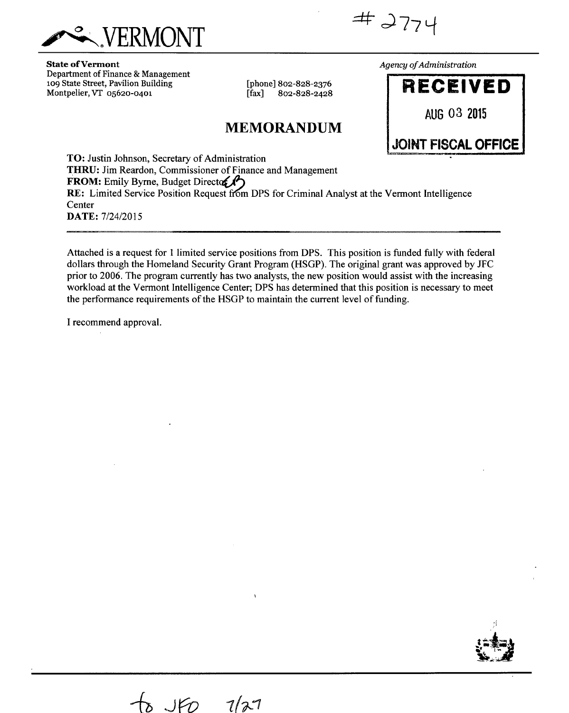

 $#2774$ 

**State of Vermont**  Department of Finance & Management 109 State Street, Pavilion Building Montpelier, VT 05620-0401

[phone] 802-828-2376<br>[fax] 802-828-2428 [fax] 802-828-2428

## **MEMORANDUM**

*Agency of Administration* 



**TO:** Justin Johnson, Secretary of Administration **THRU:** Jim Reardon, Commissioner of Finance and Management FROM: Emily Byrne, Budget Director **RE:** Limited Service Position Request from DPS for Criminal Analyst at the Vermont Intelligence **Center DATE:** 7/24/2015

Attached is a request for 1 limited service positions from DPS. This position is funded fully with federal dollars through the Homeland Security Grant Program (HSGP). The original grant was approved by JFC prior to 2006. The program currently has two analysts, the new position would assist with the increasing workload at the Vermont Intelligence Center; DPS has determined that this position is necessary to meet the performance requirements of the HSGP to maintain the current level of funding.

I recommend approval.

Jr() *1(?-1*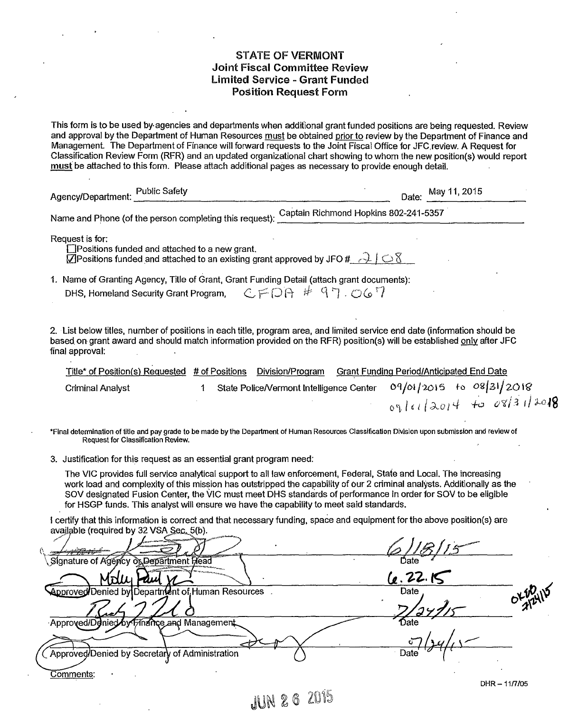#### **STATE OF VERMONT Joint Fiscal Committee Review Limited Service - Grant Funded Position Request Form**

This form is to be used by. agencies and departments when additional grant funded positions are being requested. Review and approval by the Department of Human Resources must be obtained prior toreview by the Department of Finance and Management The Department of Finance will forward requests to the Joint Fiscal Office for JFC,review. A Request for Classification Review Form (RFR) and an updated organizational chart showing to whom the new position(s) would report must be attached to this form. Please attach additional pages as necessary to provide enough detail.

| <b>Public Safety</b><br>Agency/Department:                                                                                                                                                                  | May 11, 2015<br>Date:                 |  |
|-------------------------------------------------------------------------------------------------------------------------------------------------------------------------------------------------------------|---------------------------------------|--|
| Name and Phone (of the person completing this request):                                                                                                                                                     | Captain Richmond Hopkins 802-241-5357 |  |
| Request is for:<br>$\Box$ Positions funded and attached to a new grant.<br>$\mathbb Z$ Positions funded and attached to an existing grant approved by JFO # $\rightarrow$ $\rightarrow$ $\circ$ $\mathbb Z$ |                                       |  |
| 1. Name of Granting Agency, Title of Grant, Grant Funding Detail (attach grant documents):<br>DHS, Homeland Security Grant Program,                                                                         |                                       |  |

2. List below titles, number of positions in each title, program area, and limited service end date (information should be based on grant award and should match information provided on the RFR) position(s) will be established only after JFC final approval:

| Title* of Position(s) Requested # of Positions Division/Program |  |  | <b>Grant Funding Period/Anticipated End Date</b>                  |  |  |
|-----------------------------------------------------------------|--|--|-------------------------------------------------------------------|--|--|
| Criminal Analyst                                                |  |  | State Police/Vermont Intelligence Center 09/01/2015 to 08/31/2018 |  |  |
|                                                                 |  |  | 09/01/2014 to 08/31/2018                                          |  |  |

\*Final determination of title and pay grade to be made by the Department of Human Resources Classification Division upon submission and review of Request for Classification Review.

3. Justification for this request as an essential grant program need:

The VIC provides full service analytical support to all law enforcement, Federal, State and Local. The increasing work load and complexity of this mission has outstripped the capability of our 2 criminal analysts. Additionally as the SOV designated Fusion Center, the VIC must meet DHS standards of performance in order for SOV to be eligible for FISGP funds. This analyst will ensure we have the capability to meet said standards.

I certify that this information is correct and that necessary funding, space and equipment for the above position(s) are avajlable (required by 32 VSA Sec. 5(b).

| available (required by 32 VSA Sec. 5(b).         |         |                     |
|--------------------------------------------------|---------|---------------------|
| <b>CERTIFICATION</b>                             |         |                     |
| , Signature of Agency oे⊾Department Flead        | Date    |                     |
|                                                  | 6.22.15 |                     |
| Approved/Denied by Department of Human Resources | Date    | $OK_{2}^{10^{116}}$ |
|                                                  |         |                     |
| Approved/Denied by Finance and Management.       | Date    |                     |
|                                                  |         |                     |
| ◯ Approved/Denied by Secretary of Administration | Date    |                     |
| Comments:                                        |         |                     |
|                                                  |         | DHR-11/7/05         |
| JUN 2 6 2015                                     |         |                     |
|                                                  |         |                     |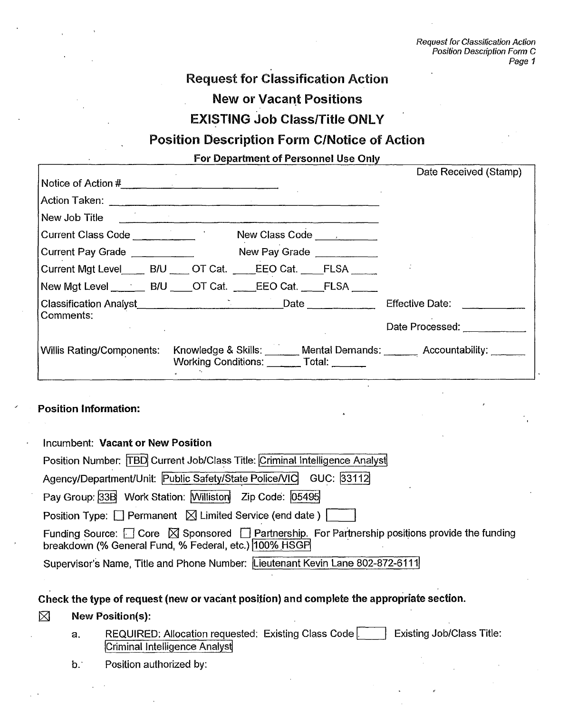Request for Classification Action Position Description Form C Page 1

## **Request for Classification Action New or Vacant Positions EXISTING Job Class/Title ONLY**

## **Position Description Form C/Notice of Action**

**For Department of Personnel Use Only** 

|                                              |                                                                                                               | Date Received (Stamp)                 |
|----------------------------------------------|---------------------------------------------------------------------------------------------------------------|---------------------------------------|
|                                              |                                                                                                               |                                       |
|                                              | Action Taken: 2008 - 2008 - 2008 - 2010 - 2010 - 2010 - 2010 - 2010 - 2010 - 2010 - 2010 - 2010 - 2010 - 2010 |                                       |
|                                              | New Job Title <b>Community of the Community of Title</b>                                                      |                                       |
| Current Class Code <b>Current Class Code</b> |                                                                                                               |                                       |
| Current Pay Grade                            | New Pay Grade                                                                                                 |                                       |
|                                              | Current Mgt Level ___ B/U ___ OT Cat. ____EEO Cat. __ FLSA ___ _                                              |                                       |
|                                              | New Mgt Level _______ B/U ____ OT Cat. ____ EEO Cat. ____ FLSA _____                                          |                                       |
|                                              |                                                                                                               | Effective Date:                       |
| Comments:                                    |                                                                                                               | Date Processed: National Section 2014 |
| Willis Rating/Components:                    | Knowledge & Skills: ______ Mental Demands: ______ Accountability: _____<br>Working Conditions: Total: _____   |                                       |

### **Position Information:**

Incumbent: **Vacant or New Position** 

| $\overline{a}$                                                                                                                                                          |
|-------------------------------------------------------------------------------------------------------------------------------------------------------------------------|
| Position Number: TBD Current Job/Class Title: Criminal Intelligence Analyst                                                                                             |
| Agency/Department/Unit: Public Safety/State Police/VIC GUC: 33112                                                                                                       |
| Pay Group: 33B Work Station: Williston Zip Code: 05495                                                                                                                  |
| Position Type: $\Box$ Permanent $\Box$ Limited Service (end date)                                                                                                       |
| Funding Source: $\Box$ Core $\Box$ Sponsored $\Box$ Partnership. For Partnership positions provide the funding<br>breakdown (% General Fund, % Federal, etc.) 100% HSGP |
| Supervisor's Name, Title and Phone Number: Lieutenant Kevin Lane 802-872-6111                                                                                           |
|                                                                                                                                                                         |

## **Check the type of request (new** or vacant position) and complete the appropriate section.

### $\boxtimes$  New Position(s):

- a. REQUIRED: Allocation requested: Existing Class Code Existing Job/Class Title: Criminal Intelligence Analyst
- b. Position authorized by: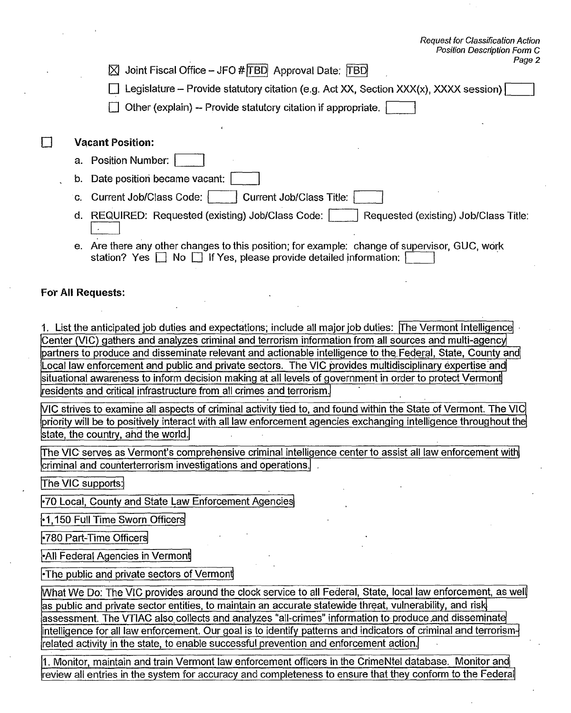⊠ Joint Fiscal Office - JFO # TBD Approval Date: TBD

**Eli** Legislature – Provide statutory citation (e.g. Act XX, Section XXX(x), XXXX session)

 $\Box$  Other (explain) -- Provide statutory citation if appropriate.

### **1 Vacant Position:**

- a. Position Number:
- b. Date position became vacant:
- c. Current Job/Class Code: Current Job/Class Title:
- d. REQUIRED: Requested (existing) Job/Class Code: | | Requested (existing) Job/Class Title:
- e. Are there any other changes to this position; for example: change of supervisor, **GUC,** work station? Yes **D** No **D** If Yes, please provide detailed information:

### **For Al! Requests:**

1. List the anticipated job duties and expectations; include all major job duties: The Vermont Intelligence Center (VIC) gathers and analyzes criminal and terrorism information from all sources and multi-agency partners to produce and disseminate relevant and actionable intelligence to the, Federal, State, County andi Local law enforcement and public and private sectors. The VIC provides multidisciplinary expertise and situational awareness to inform decision making at all levels of government in order to protect Vermon  $r$ esidents and critical infrastructure from all crimes and terrorism.

state, the country, ahd the world. VIC strives to examine all aspects of criminal activity tied to, and found within the State of Vermont. The VI priority will be to positively interact with all law enforcement agencies exchanging intelligence throughout the

The VIC-serves as Vermont's comprehensive criminal intelligence center to assist all law enforcement with criminal and counterterrorism investigations and operations.

The VIC supports:

.70 Local, County and State Law Enforcement Agencies

.1,150 Full Time Sworn Officers

.780 Part-Time Officers

-All Federal Agencies in Vermont

-The public and private sectors of Vermont

What We Do: The VIC provides around the clock service to all Federal, State, local law enforcement, as well as public and private sector entities, to maintain an accurate statewide threat, vulnerability, and risk assessment. The VTIAC also collects and analyzes "all-crimes" information to produce and disseminate intelligence for all law enforcement. Our goal is to identify patterns and indicators of criminal and terrorismrelated activity in the state, to enable successful prevention and enforcement action.

1. Monitor, maintain and train Vermont law enforcement officers in the CrimeNtel database. Monitor and review all entries in the system for accuracy and completeness to ensure that they conform to the Federal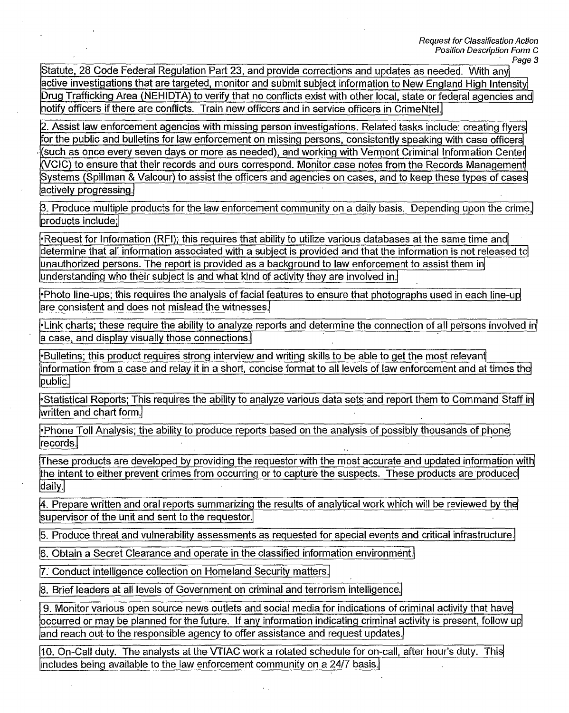Request for Classification Action Position Description Form C Page 3

Statute, 28 Code Federal Regulation Part 23, and provide corrections and updates as needed. With any active investigations that are targeted, monitor and submit subject information to New England High Intensity Drug Trafficking Area (NEHIDTA) to verify that no conflicts exist with other local, state or federal agencies and notify officers if there are conflicts. Train new officers and in service officers in CrimeNtel.

2. Assist law enforcement agencies with missing person investigations. Related tasks include: creating flyers for the public and bulletins for law enforcement on missing persons, consistently speaking with case officers (such as once every seven days or more as needed), and working with Vermont Criminal Information Center (VCIC) to ensure that their records and ours correspond. Monitor.case notes from the Records Management Systems (Spillman & Valcour) to assist the officers and agencies on cases, and to keep these types of cases actively progressing.

3. Produce multiple products for the law enforcement community on a daily basis. Depending upon the crime, products include;

-Request for Information (RFD; this requires that ability to utilize various databases at the same time and determine that all information associated with a subject is provided and that the information is not released to unauthorized ersons. The report is provided as a background to law enforcement to assist them in understanding who their subject is and what kind of activity they are involved in.

-Photo line-ups; this requires the analysis of facial features to ensure that photographs used in each line-up are consistent and does not mislead the witnesses.

-Link charts; these require the ability to analyze reports and determine the connection of all persons involved in a case, and display visually those connections.

-Bulletins; this product requires strong interview and writing skills to be able to get the most relevant information from a case and relay it in a short, concise format to all levels of law enforcement and at times the public.

-Statistical Reports; This requires the ability to analyze various data sets and report them to Command Staff in, written and chart form.

-Phone Toll Analysis; the ability to produce reports based on the analysis of possibly thousands of phone records.

These products are developed by providing the requestor with the most accurate and updated information with the intent to either prevent crimes from occurring or to capture the suspects. These products are produced daily.

4. Prepare written and oral reports summarizing the results of analytical work which will be reviewed by the supervisor of the unit and sent to the requestor.

5. Produce threat and vulnerability assessments as requested for special events and critical infrastructure.

6. Obtain a Secret Clearance and operate in the classified information environment.

7. Conduct intelligence collection on Homeland Security matters.

8. Brief leaders at all levels of Government on criminal and terrorism intelligence.

9. Monitor various open source news outlets and social media for indications of criminal activity that have occurred or may be planned for the future. If any information indicating criminal activity is present, follow up and reach out to the responsible agency to offer assistance and request updates.

 $\vert$ 10. On-Call duty. The analysts at the VTIAC work a rotated schedule for on-call, after hour's duty. This includes being available to the law enforcement community on a 24/7 basis.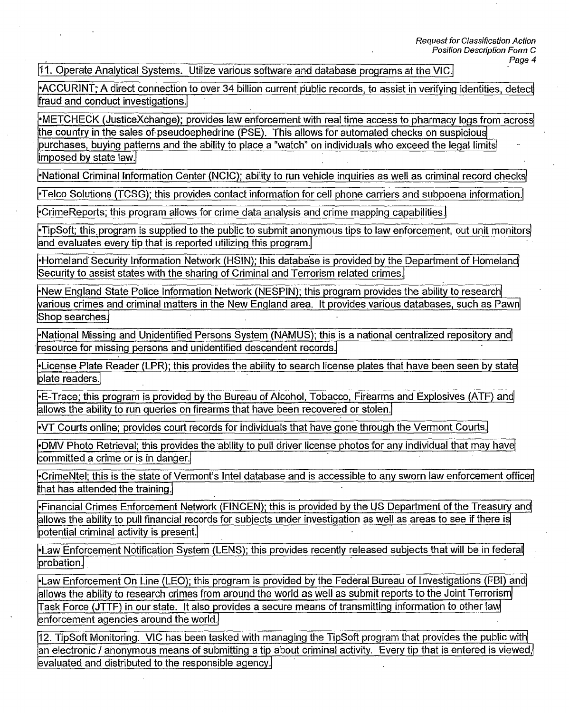11. Operate Analytical Systems. Utilize various software and database programs at the VIC.

-ACCURINT;• A direct connection to over 34 billion current public records, to assist in verifying identities, detect fraud and conduct investigations.

•METCHECK (JusticeXchange); provides law enforcement with real time access to pharmacy logs from across the country in the sales of pseudoephedrine (PSE). This allows for automated checks on suspicious purchases, buying patterns and the ability to place a "watch" on individuals who exceed the legal limits imposed by state law.

National Criminal Information Center (NCIC); ability to run vehicle inquiries as well as criminal record checks

-Telco Solutions (TCSG); this provides contact information for cell phone carriers and subpoena information.

-CrimeReports; this program allows for crime data analysis and crime mapping capabilities.

-TipSoft; this.program is supplied to the public to submit anonymous tips to law enforcement, out unit monitors and evaluates every tip that is reported utilizing this program.

-Homeland Security Information Network (HS1N); this database is provided by the Department of Homeland Security to assist states with the sharing of Criminal and Terrorism related crimes.

-New England State Police Information Network (NESPIN); this program provides the ability to research various crimes and criminal matters in the New England area. It provides various databases, such as Pawnl Shop searches.

-National Missing and Unidentified Persons System (NAMUS); this is a national centralized repository and resource for missing persons and unidentified descendent records.

-License Plate Reader (LPR); this provides the ability to search license plates that have been seen by state plate readers.

-E-Trace; this program is provided by the Bureau of Alcohol, Tobacco, Firearms and Explosives (ATF) and allows the ability to run queries on firearms that have been recovered or stolen.

-VT Courts online; provides court records for individuals that have gone through the Vermont Courts.

-DMV Photo Retrieval; this provides the ability to pull driver license photos for any individual that may have  $|$ committed a crime or is in danger. $\langle$ 

-CrimeNtel; this is the state of Vermont's Intel database and is accessible to any sworn law enforcement officer that has attended the training.

-Financial Crimes Enforcement Network (FINCEN); this is provided by the US Department of the Treasury and allows the ability to pull financial records for subjects under investigation as well as areas to see if there is potential criminal activity is present.

-Law Enforcement Notification System (LENS); this provides recently released subjects that will be in federal probation.

-Law Enforcement On Line (LEO); this program is provided by the Federal Bureau of Investigations (FBI) and, allows the ability to research crimes from around the world as well as submit reports to the Joint Terrorism Task Force (JTTF) in our state. It also provides a secure means of transmitting information to other law enforcement agencies around the world.

12. TipSoft Monitoring. VIC has been tasked with managing the TipSoft program that provides the public with an electronic / anonymous means of submitting a tip about criminal activity. Every tip that is entered is viewed, evaluated and distributed to the responsible agency.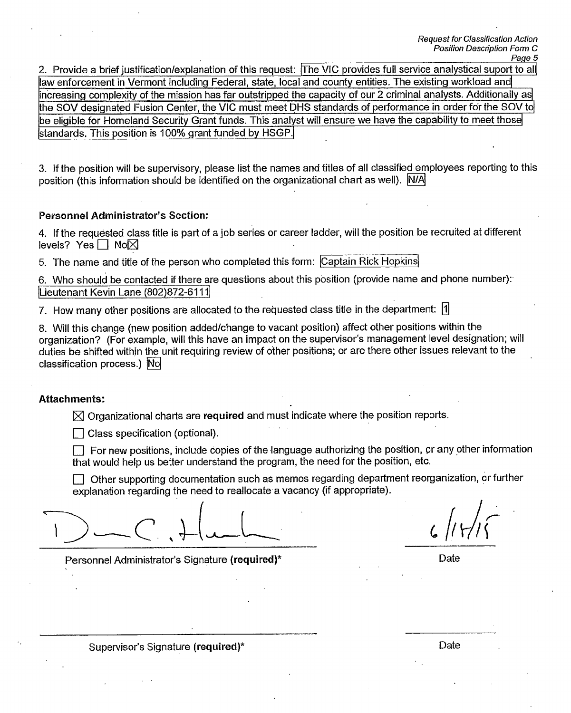2. Provide a brief justification/explanation of this request: The VIC provides full service analystical suport to all law enforcement in Vermont including Federal, state, local and county entities. The existing workload and increasing complexity of the mission has far outstripped the capacity of our 2 criminal analysts. Additionally as the SOV designated Fusion Center, the VIC must meet DHS standards of performance in order for the SOV to be eligible for Homeland Security Grant funds. This analyst will ensure we have the capability to meet those standards. This position is 100% grant funded by HSGP.

3. If the position will be supervisory, please list the names and titles of all classified employees reporting to this position (this information should be identified on the organizational chart as well). N/A

### Personnel Administrator's Section:

4. If the requested class title is part of a job series or career ladder, will the position be recruited at different levels? Yes  $\Box$  No $\boxtimes$ 

5. The name and title of the person who completed this form: Captain Rick Hopkins,

6. Who should be contacted if there are questions about this position (provide name and phone number): Lieutenant Kevin Lane (802)872-6111

7. How many other positions are allocated to the requested class title in the department:

8. Will this change (new position added/change to vacant position) affect other positions within the organization? (For example, will this have an impact on the supervisor's management level designation; will duties be shifted within the unit requiring review of other positions; or are there other issues relevant to the classification process.) No

#### **Attachments:**

 $\boxtimes$  Organizational charts are required and must indicate where the position reports.

 $\Box$  Class specification (optional).

 $\Box$  For new positions, include copies of the language authorizing the position, or any other information that would help us better understand the program, the need for the position, etc.

 $\Box$  Other supporting documentation such as memos regarding department reorganization, or further explanation regarding the need to reallocate a vacancy (if appropriate).

 $c$  / $(r/5)$ 

Personnel Administrator's Signature **(required)\*** Date

Supervisor's Signature **(required)\*** Date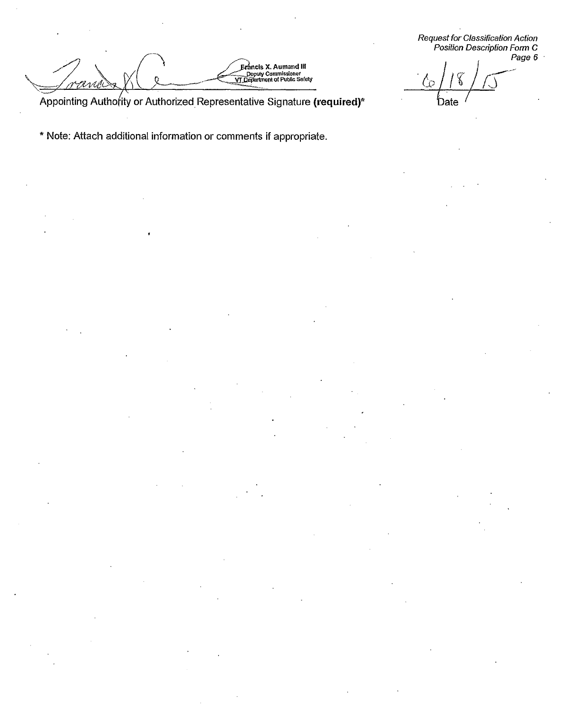Request for Classification Action<br>Position Description Form C<br>Page 6

l o **Date** 

Appointing Authority or Authorized Representative Signature (required)\*

**Exancis X. Aumand III**<br>Deputy Commissioner<br>**VT Department of Public Safety** 

\* Note: Attach additional information or comments if appropriate.